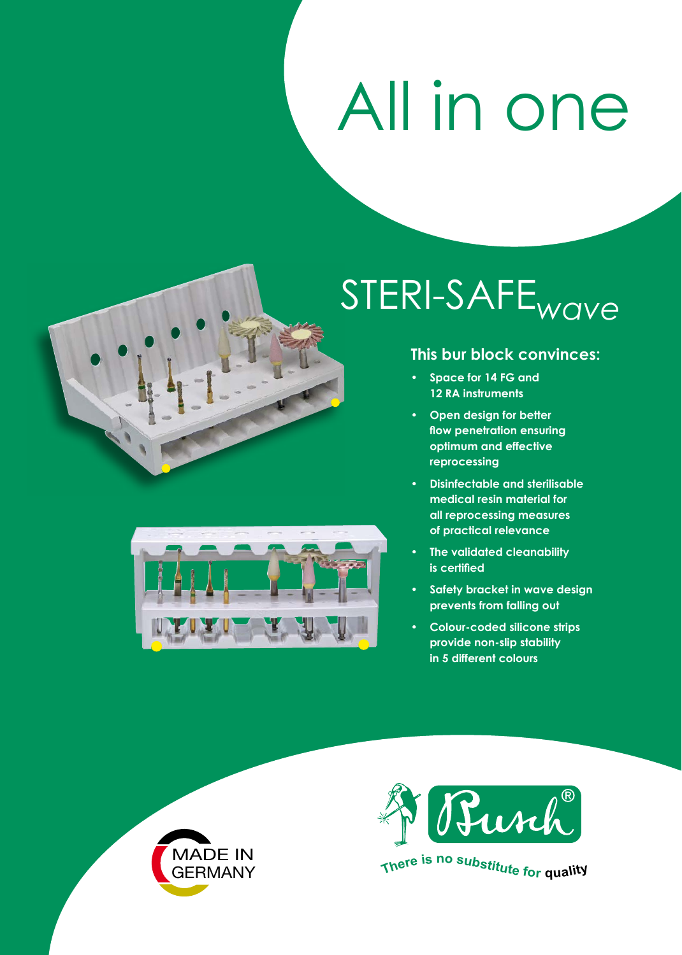## All in one



## STERI-SAFE*wave*

## **This bur block convinces:**

- **• Space for 14 FG and 12 RA instruments**
- **• Open design for better flow penetration ensuring optimum and effective reprocessing**
- **• Disinfectable and sterilisable medical resin material for all reprocessing measures of practical relevance**
- **• The validated cleanability is certified**
- **• Safety bracket in wave design prevents from falling out**
- **• Colour-coded silicone strips provide non-slip stability in 5 different colours**